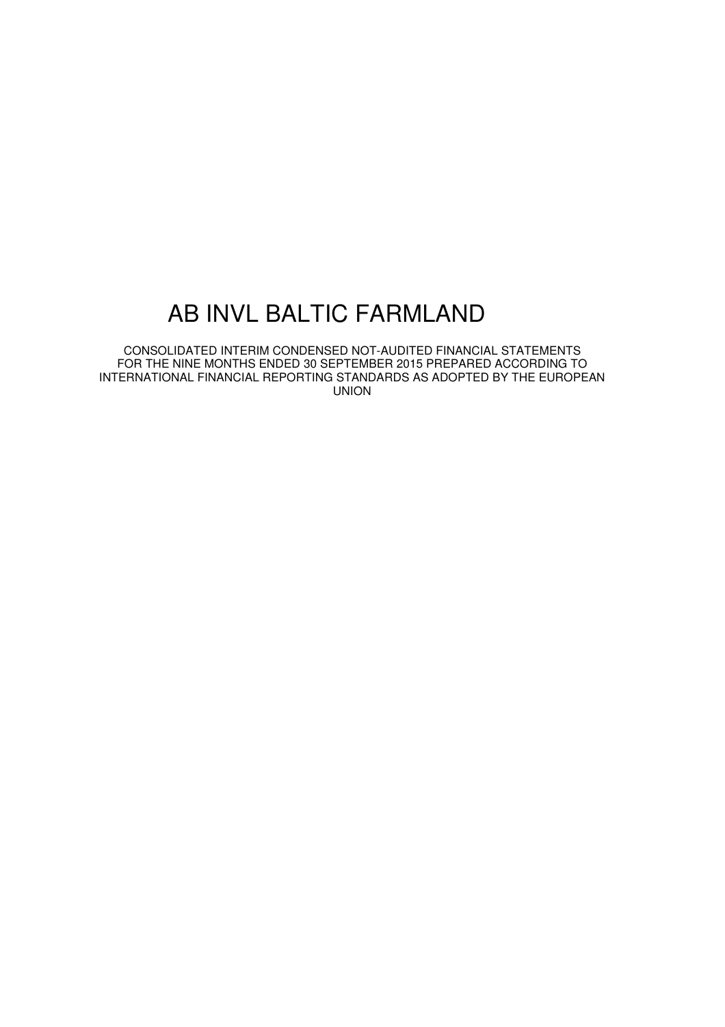CONSOLIDATED INTERIM CONDENSED NOT-AUDITED FINANCIAL STATEMENTS FOR THE NINE MONTHS ENDED 30 SEPTEMBER 2015 PREPARED ACCORDING TO INTERNATIONAL FINANCIAL REPORTING STANDARDS AS ADOPTED BY THE EUROPEAN UNION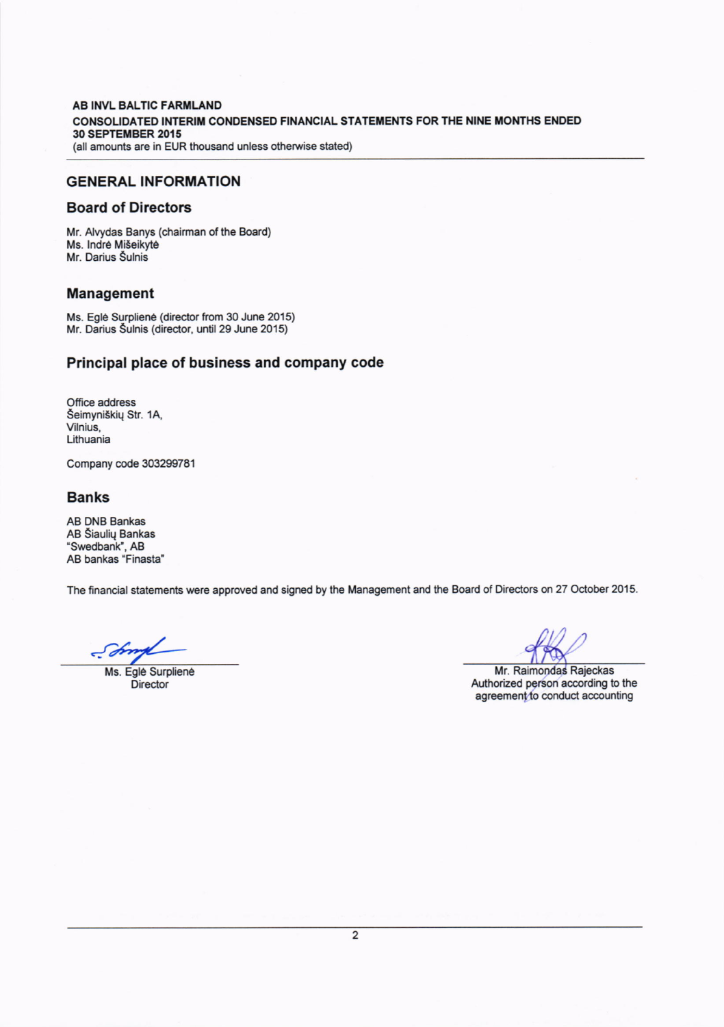#### AB INVL BALTIC FARMLAND CONSOLIDATED INTERIM CONDENSED FINANCIAL STATEMENTS FOR THE NINE MONTHS ENDED 30 SEPTEMBER 2015 (all amounts are in EUR thousand unless otherwise stated)

### GENERAL INFORMATION

### Board of Directors

Mr. Alvydas Banys (chairman of the Board) Ms. lndre Miseikyte Mr. Darius Šulnis

## Management

Ms. Egle Surpliene (director from 30 June 2015) Mr. Darius Sulnis (director, until 29 June 2015)

# Principal place of business and company code

Office address Seimyniskiq Str. 1A, Vilnius, Lithuania

Company code 30329978'l

### Banks

AB DNB Bankas AB Siauliq Bankas "Swedbank", AB AB bankas "Finasta"

The financial statements were approved and signed by the Management and the Board of Directors on 27 October 2015.

 $J$ 

Ms. Eglé Surpliené **Director** 

Mr. Raimondas Rajeckas Authorized person according to the<br>agreement to conduct accounting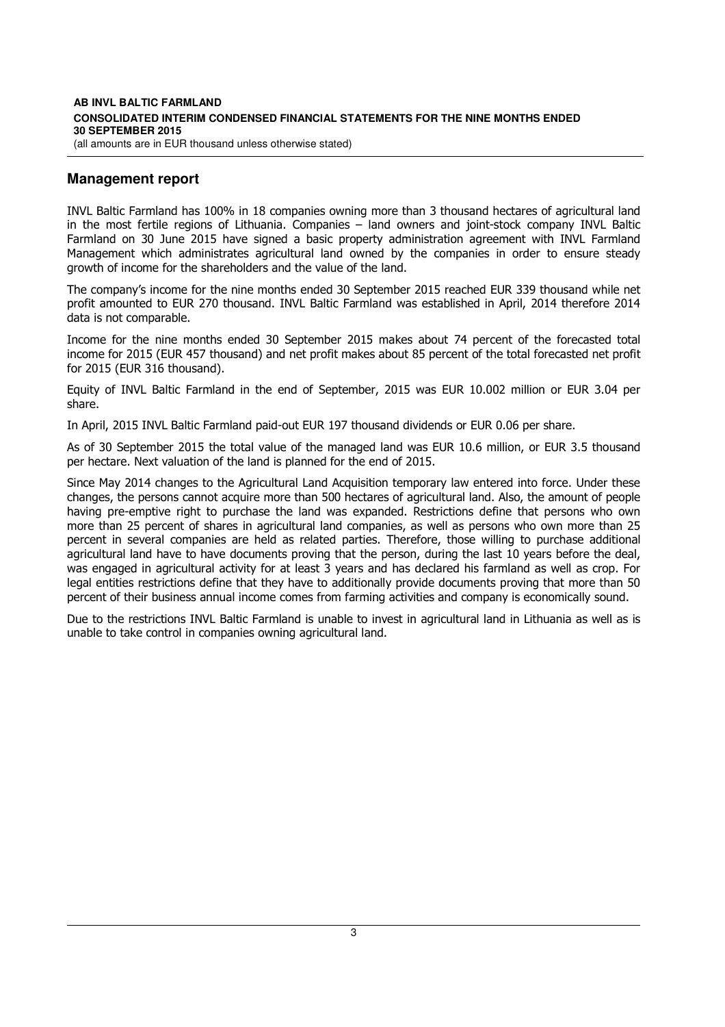#### **AB INVL BALTIC FARMLAND CONSOLIDATED INTERIM CONDENSED FINANCIAL STATEMENTS FOR THE NINE MONTHS ENDED 30 SEPTEMBER 2015**  (all amounts are in EUR thousand unless otherwise stated)

# **Management report**

INVL Baltic Farmland has 100% in 18 companies owning more than 3 thousand hectares of agricultural land in the most fertile regions of Lithuania. Companies – land owners and joint-stock company INVL Baltic Farmland on 30 June 2015 have signed a basic property administration agreement with INVL Farmland Management which administrates agricultural land owned by the companies in order to ensure steady growth of income for the shareholders and the value of the land.

The company's income for the nine months ended 30 September 2015 reached EUR 339 thousand while net profit amounted to EUR 270 thousand. INVL Baltic Farmland was established in April, 2014 therefore 2014 data is not comparable.

Income for the nine months ended 30 September 2015 makes about 74 percent of the forecasted total income for 2015 (EUR 457 thousand) and net profit makes about 85 percent of the total forecasted net profit for 2015 (EUR 316 thousand).

Equity of INVL Baltic Farmland in the end of September, 2015 was EUR 10.002 million or EUR 3.04 per share.

In April, 2015 INVL Baltic Farmland paid-out EUR 197 thousand dividends or EUR 0.06 per share.

As of 30 September 2015 the total value of the managed land was EUR 10.6 million, or EUR 3.5 thousand per hectare. Next valuation of the land is planned for the end of 2015.

Since May 2014 changes to the Agricultural Land Acquisition temporary law entered into force. Under these changes, the persons cannot acquire more than 500 hectares of agricultural land. Also, the amount of people having pre-emptive right to purchase the land was expanded. Restrictions define that persons who own more than 25 percent of shares in agricultural land companies, as well as persons who own more than 25 percent in several companies are held as related parties. Therefore, those willing to purchase additional agricultural land have to have documents proving that the person, during the last 10 years before the deal, was engaged in agricultural activity for at least 3 years and has declared his farmland as well as crop. For legal entities restrictions define that they have to additionally provide documents proving that more than 50 percent of their business annual income comes from farming activities and company is economically sound.

Due to the restrictions INVL Baltic Farmland is unable to invest in agricultural land in Lithuania as well as is unable to take control in companies owning agricultural land.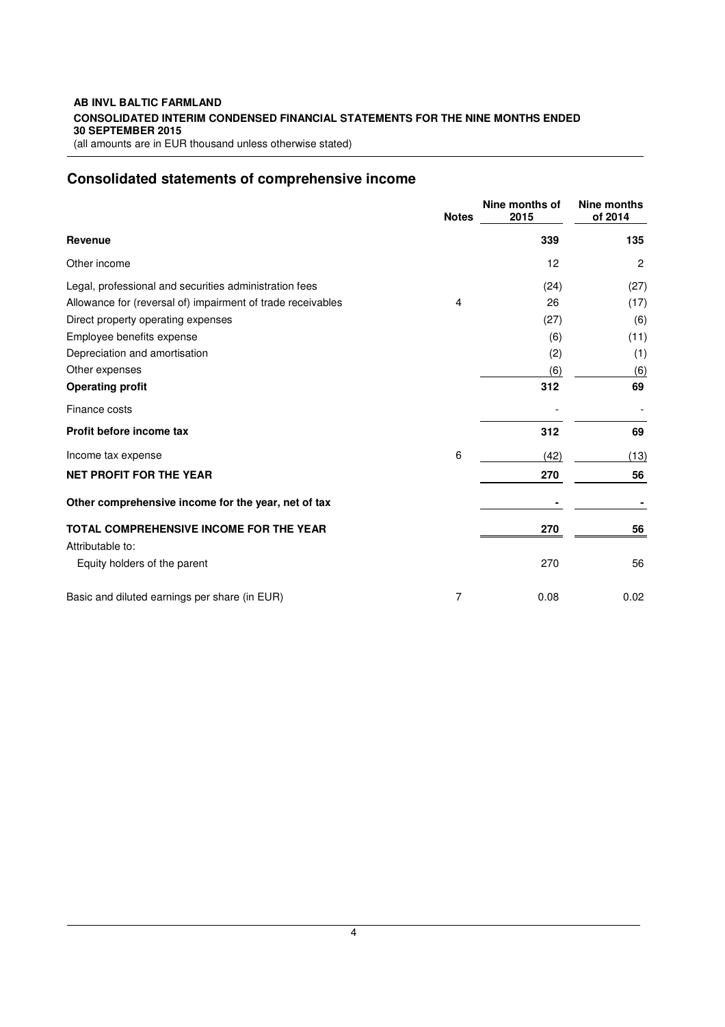#### **AB INVL BALTIC FARMLAND CONSOLIDATED INTERIM CONDENSED FINANCIAL STATEMENTS FOR THE NINE MONTHS ENDED 30 SEPTEMBER 2015**  (all amounts are in EUR thousand unless otherwise stated)

**Consolidated statements of comprehensive income** 

|                                                             | <b>Notes</b> | Nine months of<br>2015 | Nine months<br>of 2014 |
|-------------------------------------------------------------|--------------|------------------------|------------------------|
| <b>Revenue</b>                                              |              | 339                    | 135                    |
| Other income                                                |              | 12                     | $\overline{c}$         |
| Legal, professional and securities administration fees      |              | (24)                   | (27)                   |
| Allowance for (reversal of) impairment of trade receivables | 4            | 26                     | (17)                   |
| Direct property operating expenses                          |              | (27)                   | (6)                    |
| Employee benefits expense                                   |              | (6)                    | (11)                   |
| Depreciation and amortisation                               |              | (2)                    | (1)                    |
| Other expenses                                              |              | (6)                    | (6)                    |
| <b>Operating profit</b>                                     |              | 312                    | 69                     |
| Finance costs                                               |              |                        |                        |
| Profit before income tax                                    |              | 312                    | 69                     |
| Income tax expense                                          | 6            | (42)                   | (13)                   |
| <b>NET PROFIT FOR THE YEAR</b>                              |              | 270                    | 56                     |
| Other comprehensive income for the year, net of tax         |              |                        |                        |
| TOTAL COMPREHENSIVE INCOME FOR THE YEAR                     |              | 270                    | 56                     |
| Attributable to:                                            |              |                        |                        |
| Equity holders of the parent                                |              | 270                    | 56                     |
| Basic and diluted earnings per share (in EUR)               | 7            | 0.08                   | 0.02                   |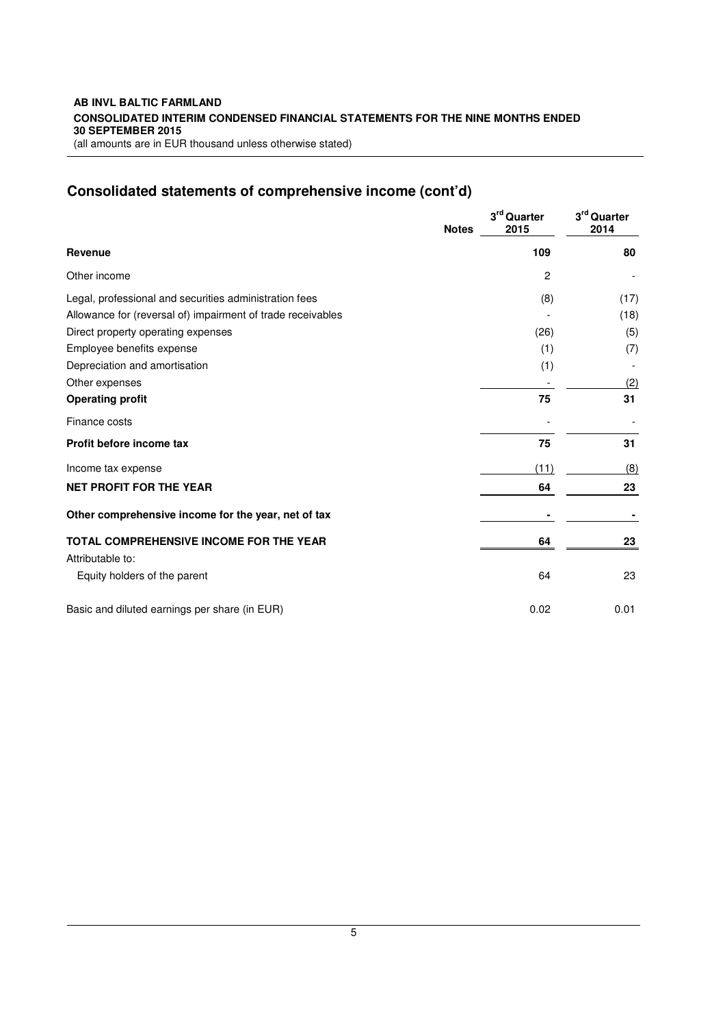#### **AB INVL BALTIC FARMLAND CONSOLIDATED INTERIM CONDENSED FINANCIAL STATEMENTS FOR THE NINE MONTHS ENDED 30 SEPTEMBER 2015**  (all amounts are in EUR thousand unless otherwise stated)

# **Consolidated statements of comprehensive income (cont'd)**

|                                                             | <b>Notes</b> | 3rd Quarter<br>2015 | 3rd Quarter<br>2014 |
|-------------------------------------------------------------|--------------|---------------------|---------------------|
| <b>Revenue</b>                                              |              | 109                 | 80                  |
| Other income                                                |              | 2                   |                     |
| Legal, professional and securities administration fees      |              | (8)                 | (17)                |
| Allowance for (reversal of) impairment of trade receivables |              |                     | (18)                |
| Direct property operating expenses                          |              | (26)                | (5)                 |
| Employee benefits expense                                   |              | (1)                 | (7)                 |
| Depreciation and amortisation                               |              | (1)                 |                     |
| Other expenses                                              |              |                     | (2)                 |
| <b>Operating profit</b>                                     |              | 75                  | 31                  |
| Finance costs                                               |              |                     |                     |
| Profit before income tax                                    |              | 75                  | 31                  |
| Income tax expense                                          |              | (11)                | (8)                 |
| <b>NET PROFIT FOR THE YEAR</b>                              |              | 64                  | 23                  |
| Other comprehensive income for the year, net of tax         |              |                     |                     |
| TOTAL COMPREHENSIVE INCOME FOR THE YEAR                     |              | 64                  | 23                  |
| Attributable to:                                            |              |                     |                     |
| Equity holders of the parent                                |              | 64                  | 23                  |
| Basic and diluted earnings per share (in EUR)               |              | 0.02                | 0.01                |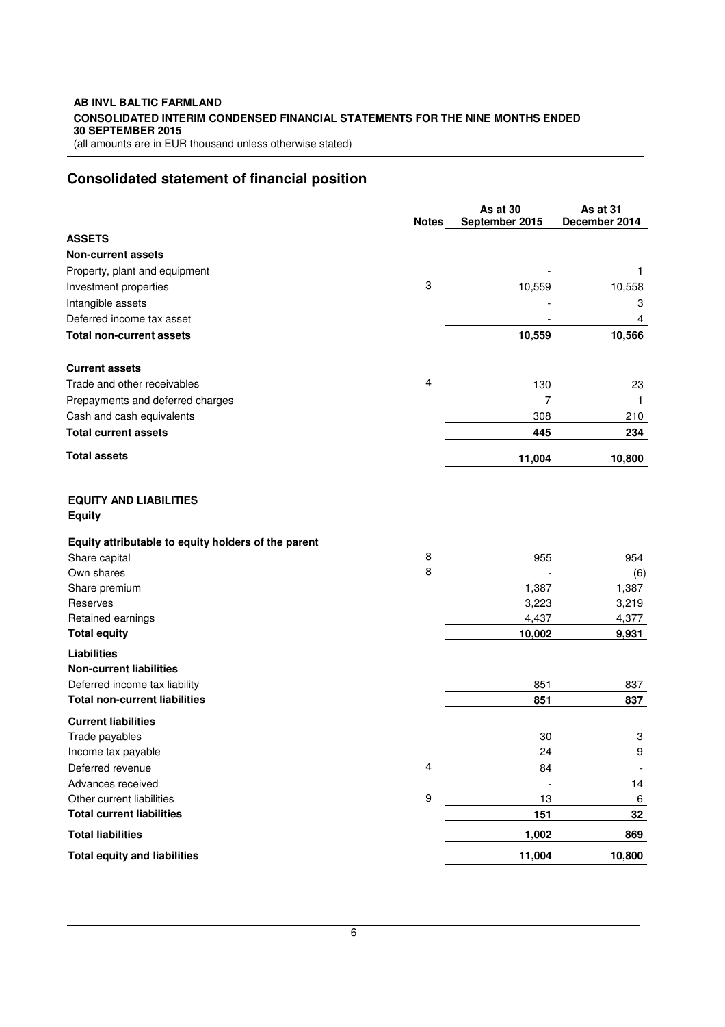# **AB INVL BALTIC FARMLAND CONSOLIDATED INTERIM CONDENSED FINANCIAL STATEMENTS FOR THE NINE MONTHS ENDED 30 SEPTEMBER 2015**

(all amounts are in EUR thousand unless otherwise stated)

# **Consolidated statement of financial position**

|                                                                 |              | As at 30       | As at 31      |
|-----------------------------------------------------------------|--------------|----------------|---------------|
|                                                                 | <b>Notes</b> | September 2015 | December 2014 |
| <b>ASSETS</b>                                                   |              |                |               |
| <b>Non-current assets</b>                                       |              |                |               |
| Property, plant and equipment                                   | 3            |                | 1             |
| Investment properties                                           |              | 10,559         | 10,558        |
| Intangible assets                                               |              |                | 3             |
| Deferred income tax asset                                       |              |                | 4             |
| <b>Total non-current assets</b>                                 |              | 10,559         | 10,566        |
| <b>Current assets</b>                                           |              |                |               |
| Trade and other receivables                                     | 4            | 130            | 23            |
| Prepayments and deferred charges                                |              | 7              | 1             |
| Cash and cash equivalents                                       |              | 308            | 210           |
| <b>Total current assets</b>                                     |              | 445            | 234           |
| <b>Total assets</b>                                             |              | 11,004         | 10,800        |
| <b>EQUITY AND LIABILITIES</b><br><b>Equity</b>                  |              |                |               |
| Equity attributable to equity holders of the parent             |              |                |               |
| Share capital                                                   | 8            | 955            | 954           |
| Own shares                                                      | 8            |                | (6)           |
| Share premium                                                   |              | 1,387          | 1,387         |
| Reserves                                                        |              | 3,223          | 3,219         |
| Retained earnings                                               |              | 4,437          | 4,377         |
| <b>Total equity</b>                                             |              | 10,002         | 9,931         |
| <b>Liabilities</b>                                              |              |                |               |
| <b>Non-current liabilities</b><br>Deferred income tax liability |              | 851            | 837           |
| <b>Total non-current liabilities</b>                            |              | 851            | 837           |
|                                                                 |              |                |               |
| <b>Current liabilities</b>                                      |              |                |               |
| Trade payables                                                  |              | 30             | 3             |
| Income tax payable<br>Deferred revenue                          | 4            | 24             | 9             |
| Advances received                                               |              | 84             | 14            |
| Other current liabilities                                       | 9            | 13             | 6             |
| <b>Total current liabilities</b>                                |              | 151            | 32            |
| <b>Total liabilities</b>                                        |              | 1,002          | 869           |
| <b>Total equity and liabilities</b>                             |              | 11,004         | 10,800        |
|                                                                 |              |                |               |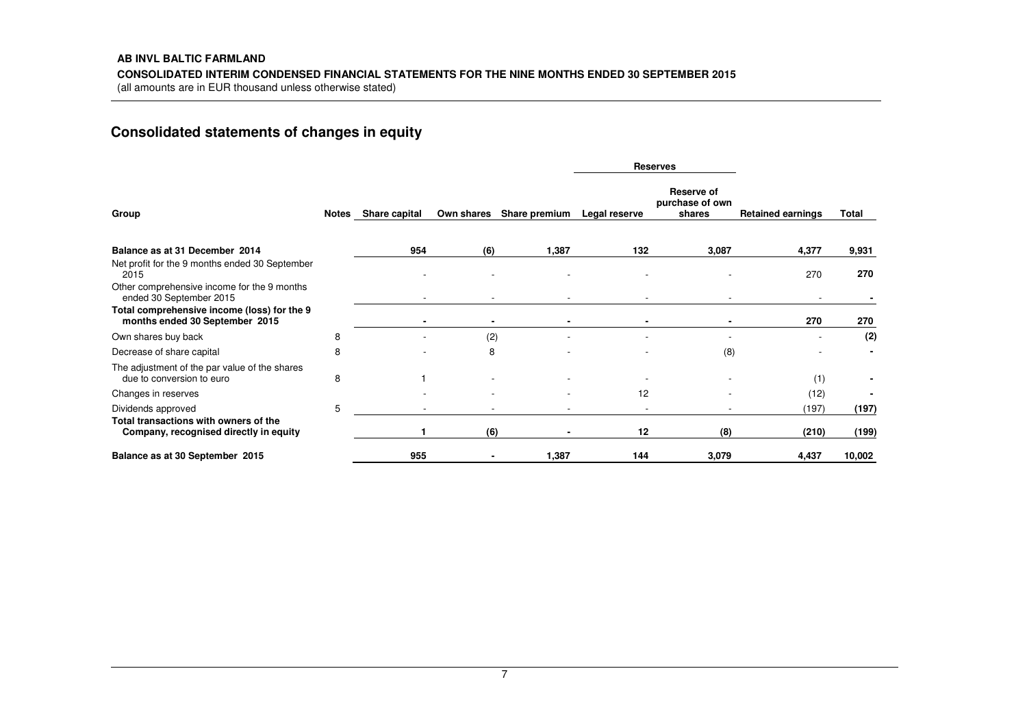# **Consolidated statements of changes in equity**

|                                                                                 |   |                     |            |               | <b>Reserves</b> |                                         |                          |        |
|---------------------------------------------------------------------------------|---|---------------------|------------|---------------|-----------------|-----------------------------------------|--------------------------|--------|
| Group                                                                           |   | Notes Share capital | Own shares | Share premium | Legal reserve   | Reserve of<br>purchase of own<br>shares | <b>Retained earnings</b> | Total  |
| Balance as at 31 December 2014                                                  |   | 954                 | (6)        | 1,387         | 132             | 3,087                                   | 4,377                    | 9,931  |
| Net profit for the 9 months ended 30 September<br>2015                          |   |                     |            |               |                 |                                         | 270                      | 270    |
| Other comprehensive income for the 9 months<br>ended 30 September 2015          |   |                     |            |               |                 |                                         |                          |        |
| Total comprehensive income (loss) for the 9<br>months ended 30 September 2015   |   |                     |            |               |                 |                                         | 270                      | 270    |
| Own shares buy back                                                             | 8 |                     | (2)        |               |                 |                                         |                          | (2)    |
| Decrease of share capital                                                       | 8 |                     | 8          |               |                 | (8)                                     |                          |        |
| The adjustment of the par value of the shares<br>due to conversion to euro      | 8 |                     |            |               |                 |                                         | (1)                      |        |
| Changes in reserves                                                             |   |                     |            |               | 12              |                                         | (12)                     |        |
| Dividends approved                                                              | 5 |                     |            |               |                 |                                         | (197)                    | (197)  |
| Total transactions with owners of the<br>Company, recognised directly in equity |   |                     | (6)        |               | 12              | (8)                                     | (210)                    | (199)  |
| Balance as at 30 September 2015                                                 |   | 955                 |            | 1,387         | 144             | 3,079                                   | 4,437                    | 10,002 |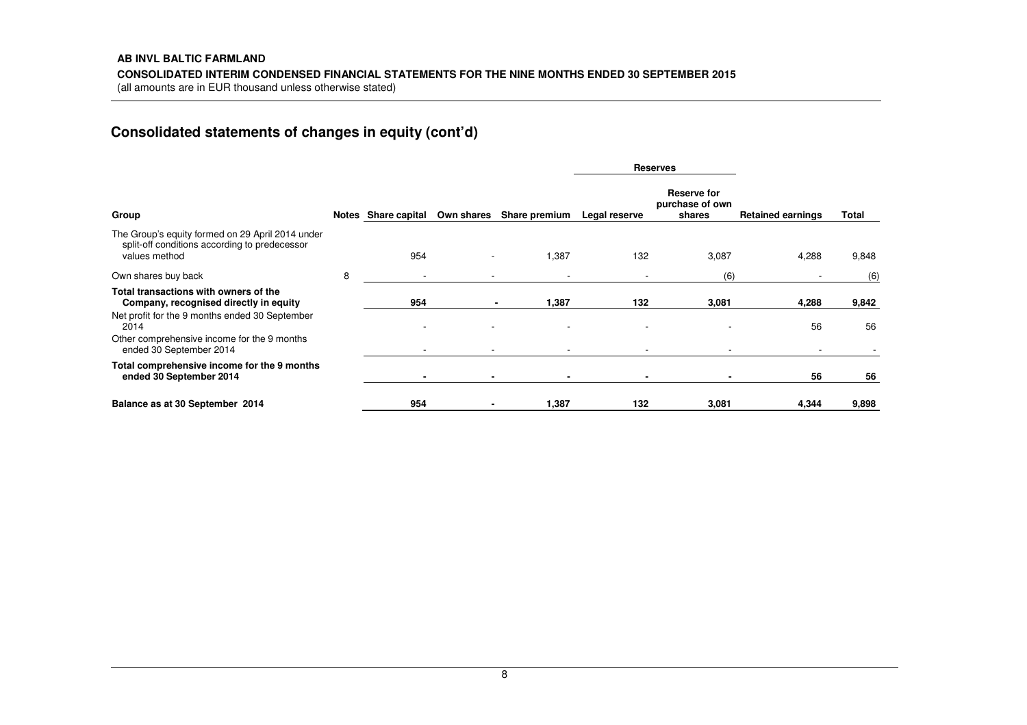# **Consolidated statements of changes in equity (cont'd)**

|                                                                                                                    |   |                     |            |                          | <b>Reserves</b> |                                          |                          |       |
|--------------------------------------------------------------------------------------------------------------------|---|---------------------|------------|--------------------------|-----------------|------------------------------------------|--------------------------|-------|
| Group                                                                                                              |   | Notes Share capital | Own shares | Share premium            | Legal reserve   | Reserve for<br>purchase of own<br>shares | <b>Retained earnings</b> | Total |
| The Group's equity formed on 29 April 2014 under<br>split-off conditions according to predecessor<br>values method |   | 954                 |            | 1,387                    | 132             | 3,087                                    | 4,288                    | 9,848 |
| Own shares buy back                                                                                                | 8 |                     |            | $\overline{\phantom{a}}$ |                 | (6)                                      |                          | (6)   |
| Total transactions with owners of the<br>Company, recognised directly in equity                                    |   | 954                 |            | 1,387<br>$\blacksquare$  | 132             | 3,081                                    | 4,288                    | 9,842 |
| Net profit for the 9 months ended 30 September<br>2014                                                             |   |                     |            | ٠                        |                 |                                          | 56                       | 56    |
| Other comprehensive income for the 9 months<br>ended 30 September 2014                                             |   |                     |            |                          |                 |                                          |                          |       |
| Total comprehensive income for the 9 months<br>ended 30 September 2014                                             |   |                     |            |                          |                 |                                          | 56                       | 56    |
| Balance as at 30 September 2014                                                                                    |   | 954                 |            | 1,387                    | 132             | 3,081                                    | 4,344                    | 9,898 |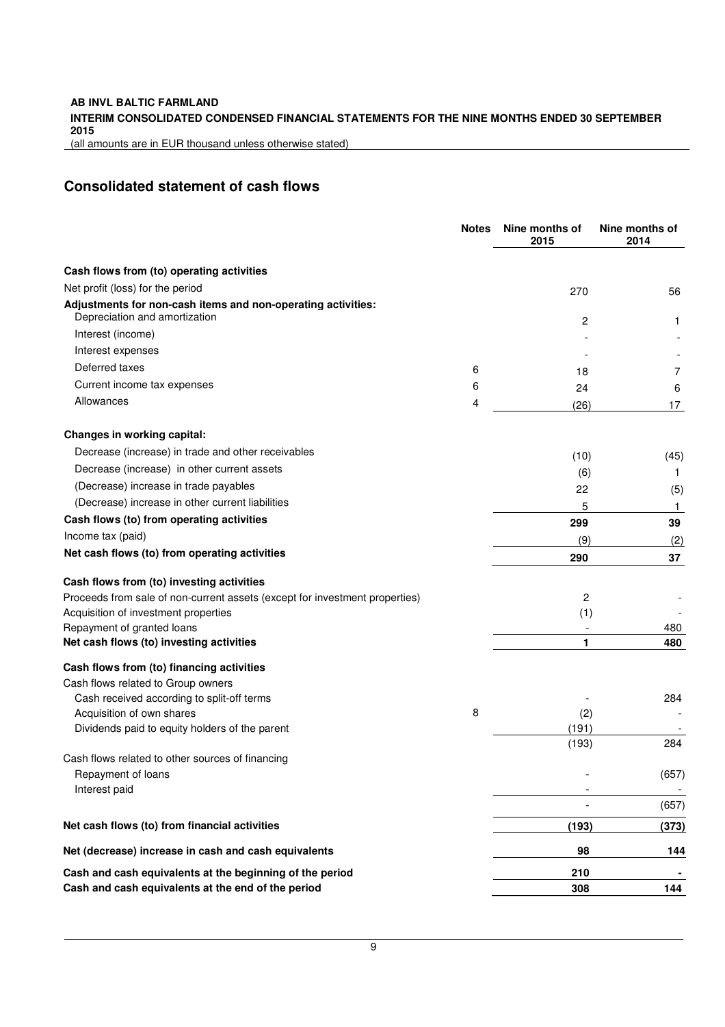### **INTERIM CONSOLIDATED CONDENSED FINANCIAL STATEMENTS FOR THE NINE MONTHS ENDED 30 SEPTEMBER 2015**

(all amounts are in EUR thousand unless otherwise stated)

# **Consolidated statement of cash flows**

|                                                                                               | <b>Notes</b> | Nine months of<br>2015 | Nine months of<br>2014 |
|-----------------------------------------------------------------------------------------------|--------------|------------------------|------------------------|
| Cash flows from (to) operating activities                                                     |              |                        |                        |
| Net profit (loss) for the period                                                              |              | 270                    | 56                     |
| Adjustments for non-cash items and non-operating activities:<br>Depreciation and amortization |              | 2                      | 1                      |
| Interest (income)                                                                             |              |                        |                        |
| Interest expenses                                                                             |              |                        |                        |
| Deferred taxes                                                                                | 6            | 18                     | 7                      |
| Current income tax expenses                                                                   | 6            | 24                     | 6                      |
| Allowances                                                                                    | 4            | (26)                   | 17                     |
| Changes in working capital:                                                                   |              |                        |                        |
| Decrease (increase) in trade and other receivables                                            |              | (10)                   | (45)                   |
| Decrease (increase) in other current assets                                                   |              | (6)                    | 1                      |
| (Decrease) increase in trade payables                                                         |              | 22                     | (5)                    |
| (Decrease) increase in other current liabilities                                              |              | 5                      | 1                      |
| Cash flows (to) from operating activities                                                     |              | 299                    | 39                     |
| Income tax (paid)                                                                             |              | (9)                    | (2)                    |
| Net cash flows (to) from operating activities                                                 |              | 290                    | 37                     |
| Cash flows from (to) investing activities                                                     |              |                        |                        |
| Proceeds from sale of non-current assets (except for investment properties)                   |              | 2                      |                        |
| Acquisition of investment properties                                                          |              | (1)                    |                        |
| Repayment of granted loans                                                                    |              |                        | 480                    |
| Net cash flows (to) investing activities                                                      |              | 1                      | 480                    |
| Cash flows from (to) financing activities                                                     |              |                        |                        |
| Cash flows related to Group owners                                                            |              |                        | 284                    |
| Cash received according to split-off terms<br>Acquisition of own shares                       | 8            | (2)                    |                        |
| Dividends paid to equity holders of the parent                                                |              | (191)                  |                        |
|                                                                                               |              | (193)                  | 284                    |
| Cash flows related to other sources of financing                                              |              |                        |                        |
| Repayment of loans                                                                            |              |                        | (657)                  |
| Interest paid                                                                                 |              |                        |                        |
|                                                                                               |              |                        | (657)                  |
| Net cash flows (to) from financial activities                                                 |              | (193)                  | (373)                  |
| Net (decrease) increase in cash and cash equivalents                                          |              | 98                     | 144                    |
| Cash and cash equivalents at the beginning of the period                                      |              | 210                    | ٠                      |
| Cash and cash equivalents at the end of the period                                            |              | 308                    | 144                    |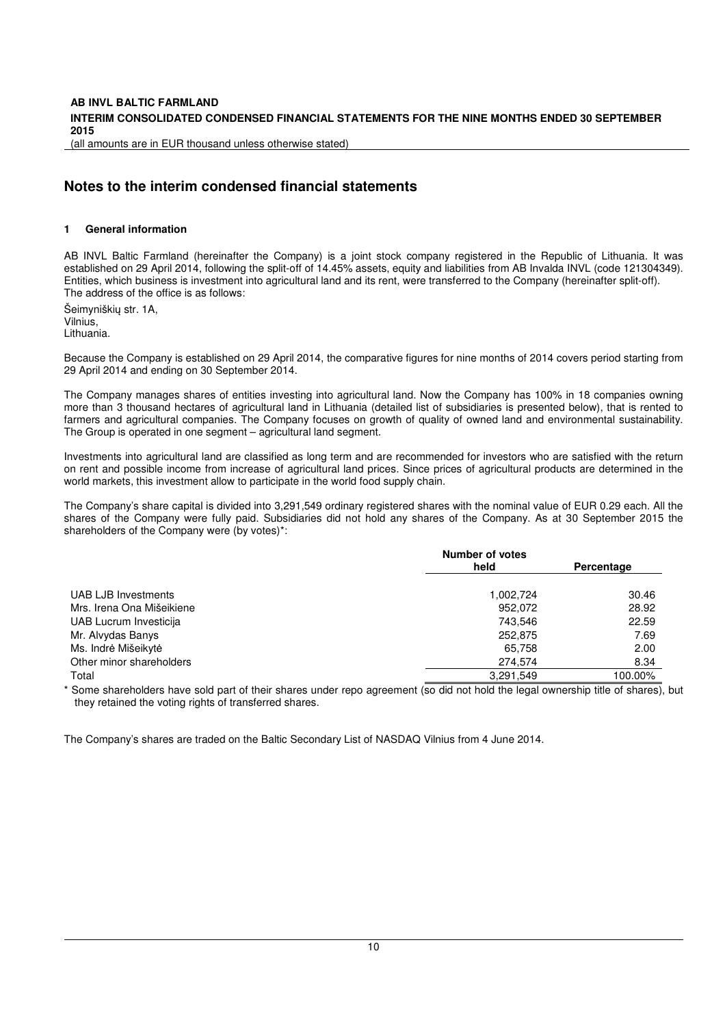# **AB INVL BALTIC FARMLAND INTERIM CONSOLIDATED CONDENSED FINANCIAL STATEMENTS FOR THE NINE MONTHS ENDED 30 SEPTEMBER 2015**

(all amounts are in EUR thousand unless otherwise stated)

# **Notes to the interim condensed financial statements**

#### **1 General information**

AB INVL Baltic Farmland (hereinafter the Company) is a joint stock company registered in the Republic of Lithuania. It was established on 29 April 2014, following the split-off of 14.45% assets, equity and liabilities from AB Invalda INVL (code 121304349). Entities, which business is investment into agricultural land and its rent, were transferred to the Company (hereinafter split-off). The address of the office is as follows:

Šeimyniškių str. 1A, Vilnius, Lithuania.

Because the Company is established on 29 April 2014, the comparative figures for nine months of 2014 covers period starting from 29 April 2014 and ending on 30 September 2014.

The Company manages shares of entities investing into agricultural land. Now the Company has 100% in 18 companies owning more than 3 thousand hectares of agricultural land in Lithuania (detailed list of subsidiaries is presented below), that is rented to farmers and agricultural companies. The Company focuses on growth of quality of owned land and environmental sustainability. The Group is operated in one segment – agricultural land segment.

Investments into agricultural land are classified as long term and are recommended for investors who are satisfied with the return on rent and possible income from increase of agricultural land prices. Since prices of agricultural products are determined in the world markets, this investment allow to participate in the world food supply chain.

The Company's share capital is divided into 3,291,549 ordinary registered shares with the nominal value of EUR 0.29 each. All the shares of the Company were fully paid. Subsidiaries did not hold any shares of the Company. As at 30 September 2015 the shareholders of the Company were (by votes)\*:

|                           | <b>Number of votes</b> |            |  |
|---------------------------|------------------------|------------|--|
|                           | held                   | Percentage |  |
| UAB LJB Investments       | 1.002.724              | 30.46      |  |
| Mrs. Irena Ona Mišeikiene | 952.072                | 28.92      |  |
| UAB Lucrum Investicija    | 743.546                | 22.59      |  |
| Mr. Alvydas Banys         | 252,875                | 7.69       |  |
| Ms. Indrė Mišeikytė       | 65,758                 | 2.00       |  |
| Other minor shareholders  | 274,574                | 8.34       |  |
| Total                     | 3,291,549              | 100.00%    |  |

Some shareholders have sold part of their shares under repo agreement (so did not hold the legal ownership title of shares), but they retained the voting rights of transferred shares.

The Company's shares are traded on the Baltic Secondary List of NASDAQ Vilnius from 4 June 2014.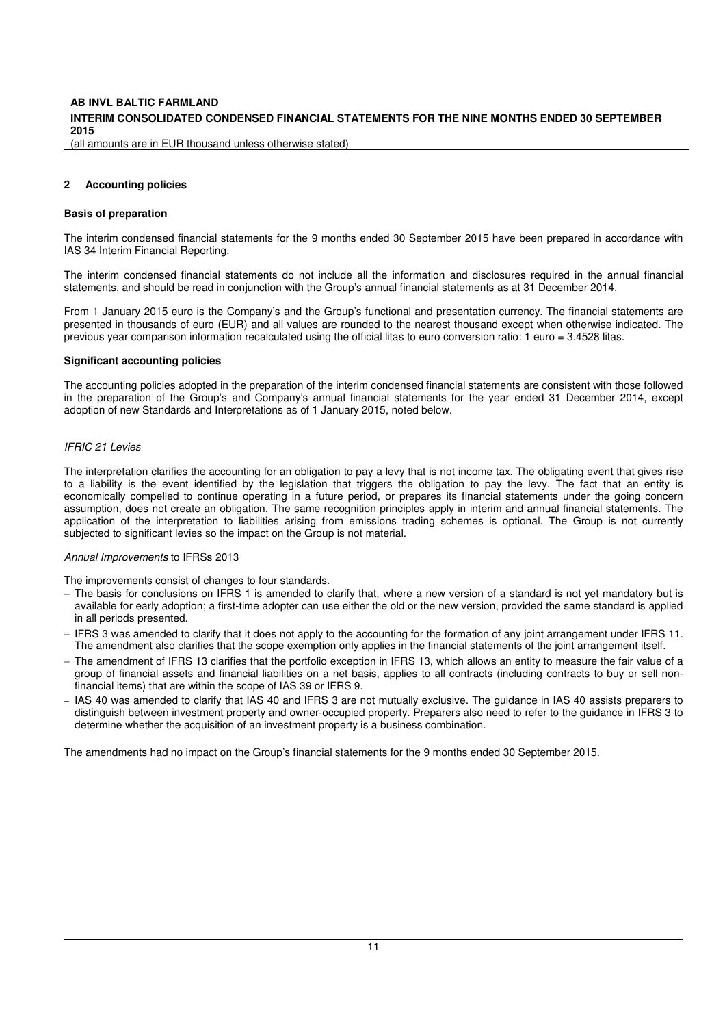#### **INTERIM CONSOLIDATED CONDENSED FINANCIAL STATEMENTS FOR THE NINE MONTHS ENDED 30 SEPTEMBER 2015**

(all amounts are in EUR thousand unless otherwise stated)

#### **2 Accounting policies**

#### **Basis of preparation**

The interim condensed financial statements for the 9 months ended 30 September 2015 have been prepared in accordance with IAS 34 Interim Financial Reporting.

The interim condensed financial statements do not include all the information and disclosures required in the annual financial statements, and should be read in conjunction with the Group's annual financial statements as at 31 December 2014.

From 1 January 2015 euro is the Company's and the Group's functional and presentation currency. The financial statements are presented in thousands of euro (EUR) and all values are rounded to the nearest thousand except when otherwise indicated. The previous year comparison information recalculated using the official litas to euro conversion ratio: 1 euro = 3.4528 litas.

#### **Significant accounting policies**

The accounting policies adopted in the preparation of the interim condensed financial statements are consistent with those followed in the preparation of the Group's and Company's annual financial statements for the year ended 31 December 2014, except adoption of new Standards and Interpretations as of 1 January 2015, noted below.

#### IFRIC 21 Levies

The interpretation clarifies the accounting for an obligation to pay a levy that is not income tax. The obligating event that gives rise to a liability is the event identified by the legislation that triggers the obligation to pay the levy. The fact that an entity is economically compelled to continue operating in a future period, or prepares its financial statements under the going concern assumption, does not create an obligation. The same recognition principles apply in interim and annual financial statements. The application of the interpretation to liabilities arising from emissions trading schemes is optional. The Group is not currently subjected to significant levies so the impact on the Group is not material.

#### Annual Improvements to IFRSs 2013

The improvements consist of changes to four standards.

- − The basis for conclusions on IFRS 1 is amended to clarify that, where a new version of a standard is not yet mandatory but is available for early adoption; a first-time adopter can use either the old or the new version, provided the same standard is applied in all periods presented.
- − IFRS 3 was amended to clarify that it does not apply to the accounting for the formation of any joint arrangement under IFRS 11. The amendment also clarifies that the scope exemption only applies in the financial statements of the joint arrangement itself.
- − The amendment of IFRS 13 clarifies that the portfolio exception in IFRS 13, which allows an entity to measure the fair value of a group of financial assets and financial liabilities on a net basis, applies to all contracts (including contracts to buy or sell nonfinancial items) that are within the scope of IAS 39 or IFRS 9.
- − IAS 40 was amended to clarify that IAS 40 and IFRS 3 are not mutually exclusive. The guidance in IAS 40 assists preparers to distinguish between investment property and owner-occupied property. Preparers also need to refer to the guidance in IFRS 3 to determine whether the acquisition of an investment property is a business combination.

The amendments had no impact on the Group's financial statements for the 9 months ended 30 September 2015.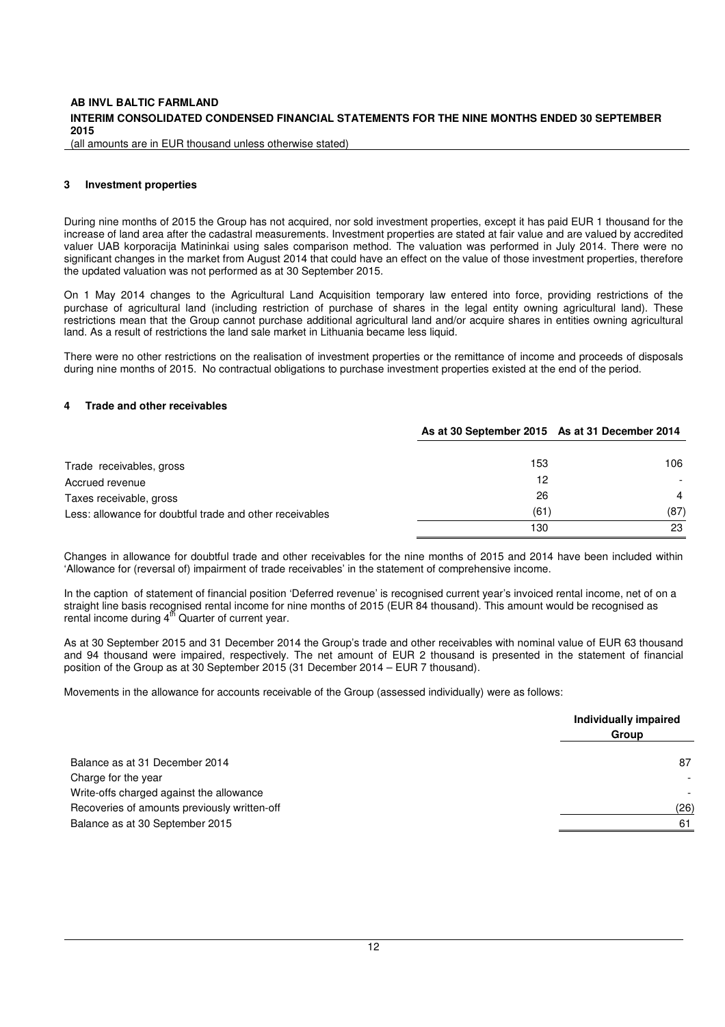#### **INTERIM CONSOLIDATED CONDENSED FINANCIAL STATEMENTS FOR THE NINE MONTHS ENDED 30 SEPTEMBER 2015**

(all amounts are in EUR thousand unless otherwise stated)

#### **3 Investment properties**

During nine months of 2015 the Group has not acquired, nor sold investment properties, except it has paid EUR 1 thousand for the increase of land area after the cadastral measurements. Investment properties are stated at fair value and are valued by accredited valuer UAB korporacija Matininkai using sales comparison method. The valuation was performed in July 2014. There were no significant changes in the market from August 2014 that could have an effect on the value of those investment properties, therefore the updated valuation was not performed as at 30 September 2015.

On 1 May 2014 changes to the Agricultural Land Acquisition temporary law entered into force, providing restrictions of the purchase of agricultural land (including restriction of purchase of shares in the legal entity owning agricultural land). These restrictions mean that the Group cannot purchase additional agricultural land and/or acquire shares in entities owning agricultural land. As a result of restrictions the land sale market in Lithuania became less liquid.

There were no other restrictions on the realisation of investment properties or the remittance of income and proceeds of disposals during nine months of 2015. No contractual obligations to purchase investment properties existed at the end of the period.

#### **4 Trade and other receivables**

|                                                          | As at 30 September 2015 As at 31 December 2014 |                |
|----------------------------------------------------------|------------------------------------------------|----------------|
| Trade receivables, gross                                 | 153                                            | 106            |
| Accrued revenue                                          | 12                                             |                |
| Taxes receivable, gross                                  | 26                                             | $\overline{4}$ |
| Less: allowance for doubtful trade and other receivables | (61)                                           | (87)           |
|                                                          | 130                                            | 23             |

Changes in allowance for doubtful trade and other receivables for the nine months of 2015 and 2014 have been included within 'Allowance for (reversal of) impairment of trade receivables' in the statement of comprehensive income.

In the caption of statement of financial position 'Deferred revenue' is recognised current year's invoiced rental income, net of on a straight line basis recognised rental income for nine months of 2015 (EUR 84 thousand). This amount would be recognised as rental income during  $4<sup>th</sup>$  Quarter of current year.

As at 30 September 2015 and 31 December 2014 the Group's trade and other receivables with nominal value of EUR 63 thousand and 94 thousand were impaired, respectively. The net amount of EUR 2 thousand is presented in the statement of financial position of the Group as at 30 September 2015 (31 December 2014 – EUR 7 thousand).

Movements in the allowance for accounts receivable of the Group (assessed individually) were as follows:

|                                              | Individually impaired |
|----------------------------------------------|-----------------------|
|                                              | Group                 |
| Balance as at 31 December 2014               | 87                    |
| Charge for the year                          |                       |
| Write-offs charged against the allowance     |                       |
| Recoveries of amounts previously written-off | (26)                  |
| Balance as at 30 September 2015              | 61                    |
|                                              |                       |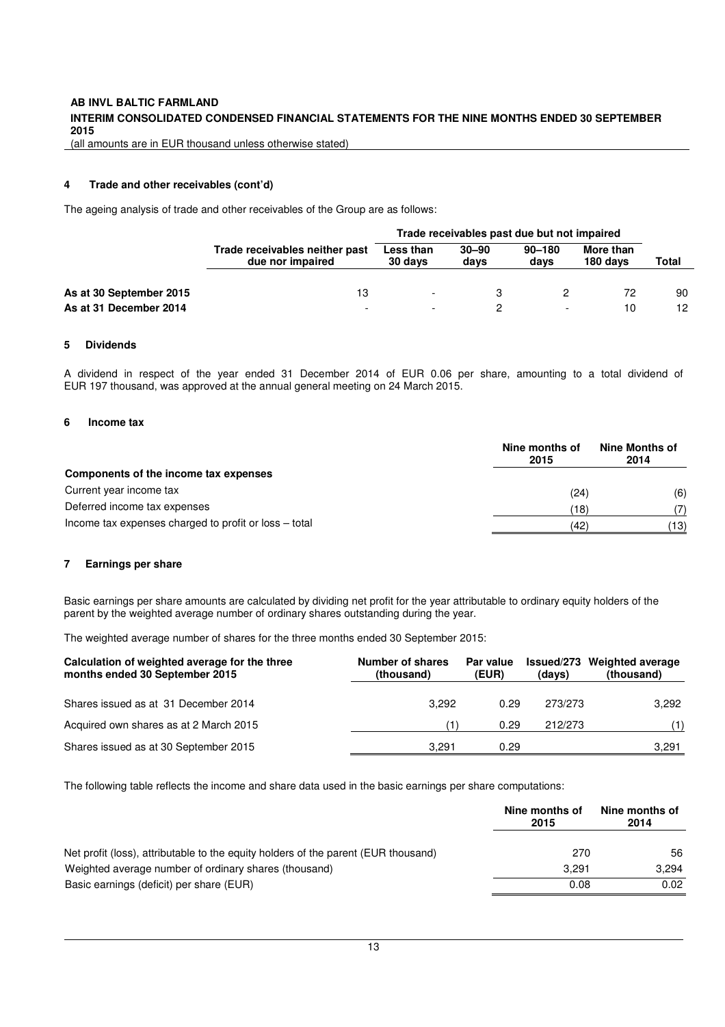#### **INTERIM CONSOLIDATED CONDENSED FINANCIAL STATEMENTS FOR THE NINE MONTHS ENDED 30 SEPTEMBER 2015**

(all amounts are in EUR thousand unless otherwise stated)

#### **4 Trade and other receivables (cont'd)**

The ageing analysis of trade and other receivables of the Group are as follows:

|                         |                                                    | Trade receivables past due but not impaired |                   |                    |                       |       |  |
|-------------------------|----------------------------------------------------|---------------------------------------------|-------------------|--------------------|-----------------------|-------|--|
|                         | Trade receivables neither past<br>due nor impaired | Less than<br>30 days                        | $30 - 90$<br>davs | $90 - 180$<br>davs | More than<br>180 days | Total |  |
| As at 30 September 2015 | 13                                                 |                                             | 3                 |                    | 72                    | 90    |  |
| As at 31 December 2014  | $\overline{\phantom{a}}$                           |                                             |                   |                    | 10                    | 12    |  |

#### **5 Dividends**

A dividend in respect of the year ended 31 December 2014 of EUR 0.06 per share, amounting to a total dividend of EUR 197 thousand, was approved at the annual general meeting on 24 March 2015.

#### **6 Income tax**

|                                                       | Nine months of<br>2015 | Nine Months of<br>2014 |  |
|-------------------------------------------------------|------------------------|------------------------|--|
| Components of the income tax expenses                 |                        |                        |  |
| Current year income tax                               | (24)                   | (6)                    |  |
| Deferred income tax expenses                          | 18)                    | 7١                     |  |
| Income tax expenses charged to profit or loss – total | (42)                   | (13)                   |  |

#### **7 Earnings per share**

Basic earnings per share amounts are calculated by dividing net profit for the year attributable to ordinary equity holders of the parent by the weighted average number of ordinary shares outstanding during the year.

The weighted average number of shares for the three months ended 30 September 2015:

| Calculation of weighted average for the three<br>months ended 30 September 2015 | Number of shares<br>(thousand) | Par value<br>(EUR) | (days)  | Issued/273 Weighted average<br>(thousand) |
|---------------------------------------------------------------------------------|--------------------------------|--------------------|---------|-------------------------------------------|
| Shares issued as at 31 December 2014                                            | 3.292                          | 0.29               | 273/273 | 3.292                                     |
| Acquired own shares as at 2 March 2015                                          |                                | 0.29               | 212/273 | (1)                                       |
| Shares issued as at 30 September 2015                                           | 3.291                          | 0.29               |         | 3,291                                     |

The following table reflects the income and share data used in the basic earnings per share computations:

|                                                                                    | Nine months of<br>2015 | Nine months of<br>2014 |
|------------------------------------------------------------------------------------|------------------------|------------------------|
| Net profit (loss), attributable to the equity holders of the parent (EUR thousand) | 270                    | 56                     |
| Weighted average number of ordinary shares (thousand)                              | 3.291                  | 3.294                  |
| Basic earnings (deficit) per share (EUR)                                           | 0.08                   | 0.02                   |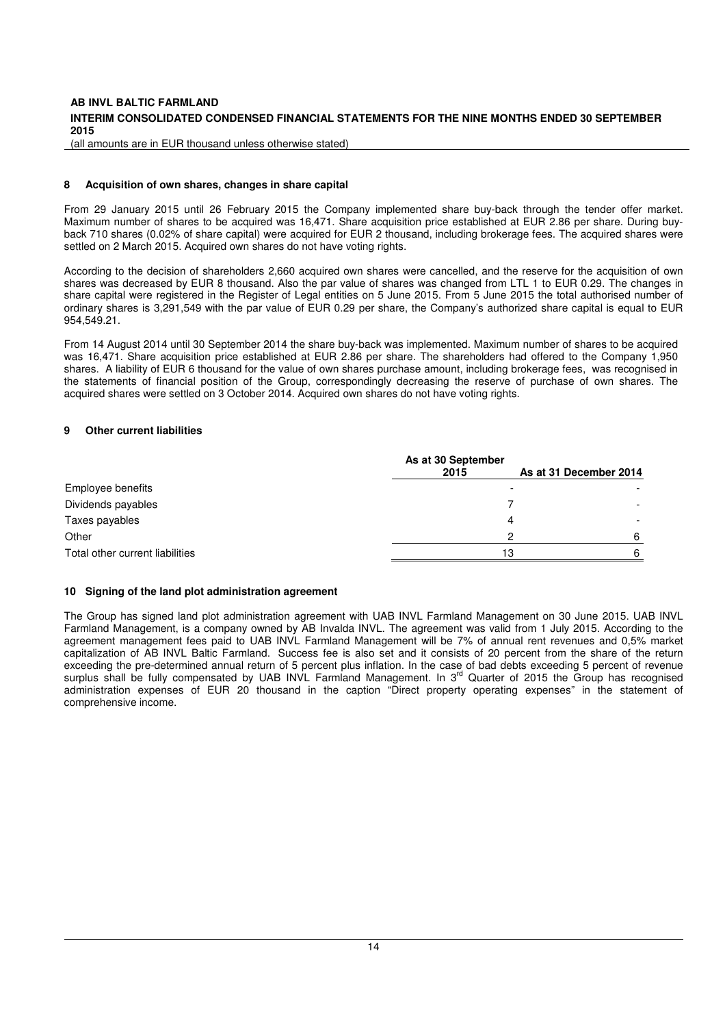#### **INTERIM CONSOLIDATED CONDENSED FINANCIAL STATEMENTS FOR THE NINE MONTHS ENDED 30 SEPTEMBER 2015**

(all amounts are in EUR thousand unless otherwise stated)

#### **8 Acquisition of own shares, changes in share capital**

From 29 January 2015 until 26 February 2015 the Company implemented share buy-back through the tender offer market. Maximum number of shares to be acquired was 16,471. Share acquisition price established at EUR 2.86 per share. During buyback 710 shares (0.02% of share capital) were acquired for EUR 2 thousand, including brokerage fees. The acquired shares were settled on 2 March 2015. Acquired own shares do not have voting rights.

According to the decision of shareholders 2,660 acquired own shares were cancelled, and the reserve for the acquisition of own shares was decreased by EUR 8 thousand. Also the par value of shares was changed from LTL 1 to EUR 0.29. The changes in share capital were registered in the Register of Legal entities on 5 June 2015. From 5 June 2015 the total authorised number of ordinary shares is 3,291,549 with the par value of EUR 0.29 per share, the Company's authorized share capital is equal to EUR 954,549.21.

From 14 August 2014 until 30 September 2014 the share buy-back was implemented. Maximum number of shares to be acquired was 16,471. Share acquisition price established at EUR 2.86 per share. The shareholders had offered to the Company 1,950 shares. A liability of EUR 6 thousand for the value of own shares purchase amount, including brokerage fees, was recognised in the statements of financial position of the Group, correspondingly decreasing the reserve of purchase of own shares. The acquired shares were settled on 3 October 2014. Acquired own shares do not have voting rights.

#### **9 Other current liabilities**

|                                 | As at 30 September |                        |  |
|---------------------------------|--------------------|------------------------|--|
|                                 | 2015               | As at 31 December 2014 |  |
| Employee benefits               |                    |                        |  |
| Dividends payables              |                    |                        |  |
| Taxes payables                  | Λ                  |                        |  |
| Other                           | ົ                  | ൳                      |  |
| Total other current liabilities | 13                 |                        |  |

#### **10 Signing of the land plot administration agreement**

The Group has signed land plot administration agreement with UAB INVL Farmland Management on 30 June 2015. UAB INVL Farmland Management, is a company owned by AB Invalda INVL. The agreement was valid from 1 July 2015. According to the agreement management fees paid to UAB INVL Farmland Management will be 7% of annual rent revenues and 0,5% market capitalization of AB INVL Baltic Farmland. Success fee is also set and it consists of 20 percent from the share of the return exceeding the pre-determined annual return of 5 percent plus inflation. In the case of bad debts exceeding 5 percent of revenue surplus shall be fully compensated by UAB INVL Farmland Management. In 3<sup>rd</sup> Quarter of 2015 the Group has recognised administration expenses of EUR 20 thousand in the caption "Direct property operating expenses" in the statement of comprehensive income.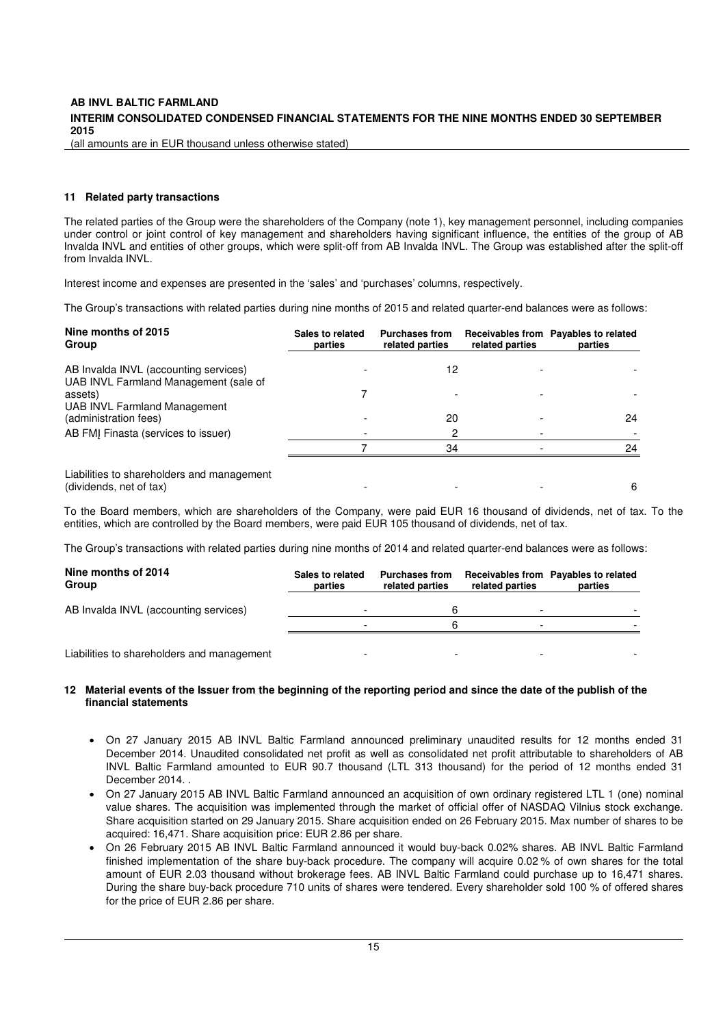#### **INTERIM CONSOLIDATED CONDENSED FINANCIAL STATEMENTS FOR THE NINE MONTHS ENDED 30 SEPTEMBER 2015**

(all amounts are in EUR thousand unless otherwise stated)

#### **11 Related party transactions**

The related parties of the Group were the shareholders of the Company (note 1), key management personnel, including companies under control or joint control of key management and shareholders having significant influence, the entities of the group of AB Invalda INVL and entities of other groups, which were split-off from AB Invalda INVL. The Group was established after the split-off from Invalda INVL.

Interest income and expenses are presented in the 'sales' and 'purchases' columns, respectively.

The Group's transactions with related parties during nine months of 2015 and related quarter-end balances were as follows:

| Nine months of 2015<br>Group                                                   | Sales to related<br>parties | <b>Purchases from</b><br>related parties | related parties | Receivables from Payables to related<br>parties |
|--------------------------------------------------------------------------------|-----------------------------|------------------------------------------|-----------------|-------------------------------------------------|
| AB Invalda INVL (accounting services)<br>UAB INVL Farmland Management (sale of |                             | 12                                       |                 |                                                 |
| assets)                                                                        |                             |                                          |                 |                                                 |
| UAB INVL Farmland Management                                                   |                             |                                          |                 |                                                 |
| (administration fees)                                                          |                             | 20                                       |                 | 24                                              |
| AB FMJ Finasta (services to issuer)                                            |                             | 2                                        |                 |                                                 |
|                                                                                |                             | 34                                       |                 | 24                                              |
| Liabilities to shareholders and management<br>(dividends, net of tax)          |                             |                                          |                 | 6                                               |

To the Board members, which are shareholders of the Company, were paid EUR 16 thousand of dividends, net of tax. To the entities, which are controlled by the Board members, were paid EUR 105 thousand of dividends, net of tax.

The Group's transactions with related parties during nine months of 2014 and related quarter-end balances were as follows:

| Nine months of 2014<br>Group               | Sales to related<br>parties | <b>Purchases from</b><br>related parties | related parties | Receivables from Payables to related<br>parties |
|--------------------------------------------|-----------------------------|------------------------------------------|-----------------|-------------------------------------------------|
| AB Invalda INVL (accounting services)      |                             |                                          |                 |                                                 |
|                                            |                             |                                          |                 |                                                 |
| Liabilities to shareholders and management |                             |                                          |                 |                                                 |

#### **12 Material events of the Issuer from the beginning of the reporting period and since the date of the publish of the financial statements**

- On 27 January 2015 AB INVL Baltic Farmland announced preliminary unaudited results for 12 months ended 31 December 2014. Unaudited consolidated net profit as well as consolidated net profit attributable to shareholders of AB INVL Baltic Farmland amounted to EUR 90.7 thousand (LTL 313 thousand) for the period of 12 months ended 31 December 2014.
- On 27 January 2015 AB INVL Baltic Farmland announced an acquisition of own ordinary registered LTL 1 (one) nominal value shares. The acquisition was implemented through the market of official offer of NASDAQ Vilnius stock exchange. Share acquisition started on 29 January 2015. Share acquisition ended on 26 February 2015. Max number of shares to be acquired: 16,471. Share acquisition price: EUR 2.86 per share.
- On 26 February 2015 AB INVL Baltic Farmland announced it would buy-back 0.02% shares. AB INVL Baltic Farmland finished implementation of the share buy-back procedure. The company will acquire 0.02 % of own shares for the total amount of EUR 2.03 thousand without brokerage fees. AB INVL Baltic Farmland could purchase up to 16,471 shares. During the share buy-back procedure 710 units of shares were tendered. Every shareholder sold 100 % of offered shares for the price of EUR 2.86 per share.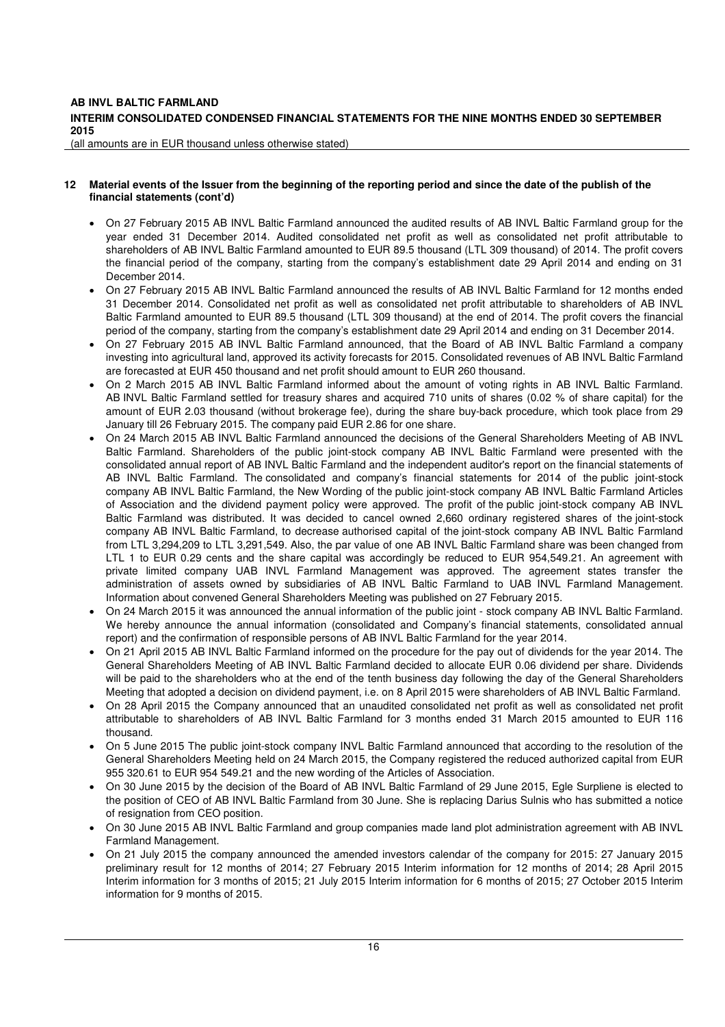#### **INTERIM CONSOLIDATED CONDENSED FINANCIAL STATEMENTS FOR THE NINE MONTHS ENDED 30 SEPTEMBER 2015**

(all amounts are in EUR thousand unless otherwise stated)

#### **12 Material events of the Issuer from the beginning of the reporting period and since the date of the publish of the financial statements (cont'd)**

- On 27 February 2015 AB INVL Baltic Farmland announced the audited results of AB INVL Baltic Farmland group for the year ended 31 December 2014. Audited consolidated net profit as well as consolidated net profit attributable to shareholders of AB INVL Baltic Farmland amounted to EUR 89.5 thousand (LTL 309 thousand) of 2014. The profit covers the financial period of the company, starting from the company's establishment date 29 April 2014 and ending on 31 December 2014.
- On 27 February 2015 AB INVL Baltic Farmland announced the results of AB INVL Baltic Farmland for 12 months ended 31 December 2014. Consolidated net profit as well as consolidated net profit attributable to shareholders of AB INVL Baltic Farmland amounted to EUR 89.5 thousand (LTL 309 thousand) at the end of 2014. The profit covers the financial period of the company, starting from the company's establishment date 29 April 2014 and ending on 31 December 2014.
- On 27 February 2015 AB INVL Baltic Farmland announced, that the Board of AB INVL Baltic Farmland a company investing into agricultural land, approved its activity forecasts for 2015. Consolidated revenues of AB INVL Baltic Farmland are forecasted at EUR 450 thousand and net profit should amount to EUR 260 thousand.
- On 2 March 2015 AB INVL Baltic Farmland informed about the amount of voting rights in AB INVL Baltic Farmland. AB INVL Baltic Farmland settled for treasury shares and acquired 710 units of shares (0.02 % of share capital) for the amount of EUR 2.03 thousand (without brokerage fee), during the share buy-back procedure, which took place from 29 January till 26 February 2015. The company paid EUR 2.86 for one share.
- On 24 March 2015 AB INVL Baltic Farmland announced the decisions of the General Shareholders Meeting of AB INVL Baltic Farmland. Shareholders of the public joint-stock company AB INVL Baltic Farmland were presented with the consolidated annual report of AB INVL Baltic Farmland and the independent auditor's report on the financial statements of AB INVL Baltic Farmland. The consolidated and company's financial statements for 2014 of the public joint-stock company AB INVL Baltic Farmland, the New Wording of the public joint-stock company AB INVL Baltic Farmland Articles of Association and the dividend payment policy were approved. The profit of the public joint-stock company AB INVL Baltic Farmland was distributed. It was decided to cancel owned 2,660 ordinary registered shares of the joint-stock company AB INVL Baltic Farmland, to decrease authorised capital of the joint-stock company AB INVL Baltic Farmland from LTL 3,294,209 to LTL 3,291,549. Also, the par value of one AB INVL Baltic Farmland share was been changed from LTL 1 to EUR 0.29 cents and the share capital was accordingly be reduced to EUR 954,549.21. An agreement with private limited company UAB INVL Farmland Management was approved. The agreement states transfer the administration of assets owned by subsidiaries of AB INVL Baltic Farmland to UAB INVL Farmland Management. Information about convened General Shareholders Meeting was published on 27 February 2015.
- On 24 March 2015 it was announced the annual information of the public joint stock company AB INVL Baltic Farmland. We hereby announce the annual information (consolidated and Company's financial statements, consolidated annual report) and the confirmation of responsible persons of AB INVL Baltic Farmland for the year 2014.
- On 21 April 2015 AB INVL Baltic Farmland informed on the procedure for the pay out of dividends for the year 2014. The General Shareholders Meeting of AB INVL Baltic Farmland decided to allocate EUR 0.06 dividend per share. Dividends will be paid to the shareholders who at the end of the tenth business day following the day of the General Shareholders Meeting that adopted a decision on dividend payment, i.e. on 8 April 2015 were shareholders of AB INVL Baltic Farmland.
- On 28 April 2015 the Company announced that an unaudited consolidated net profit as well as consolidated net profit attributable to shareholders of AB INVL Baltic Farmland for 3 months ended 31 March 2015 amounted to EUR 116 thousand.
- On 5 June 2015 The public joint-stock company INVL Baltic Farmland announced that according to the resolution of the General Shareholders Meeting held on 24 March 2015, the Company registered the reduced authorized capital from EUR 955 320.61 to EUR 954 549.21 and the new wording of the Articles of Association.
- On 30 June 2015 by the decision of the Board of AB INVL Baltic Farmland of 29 June 2015, Egle Surpliene is elected to the position of CEO of AB INVL Baltic Farmland from 30 June. She is replacing Darius Sulnis who has submitted a notice of resignation from CEO position.
- On 30 June 2015 AB INVL Baltic Farmland and group companies made land plot administration agreement with AB INVL Farmland Management.
- On 21 July 2015 the company announced the amended investors calendar of the company for 2015: 27 January 2015 preliminary result for 12 months of 2014; 27 February 2015 Interim information for 12 months of 2014; 28 April 2015 Interim information for 3 months of 2015; 21 July 2015 Interim information for 6 months of 2015; 27 October 2015 Interim information for 9 months of 2015.